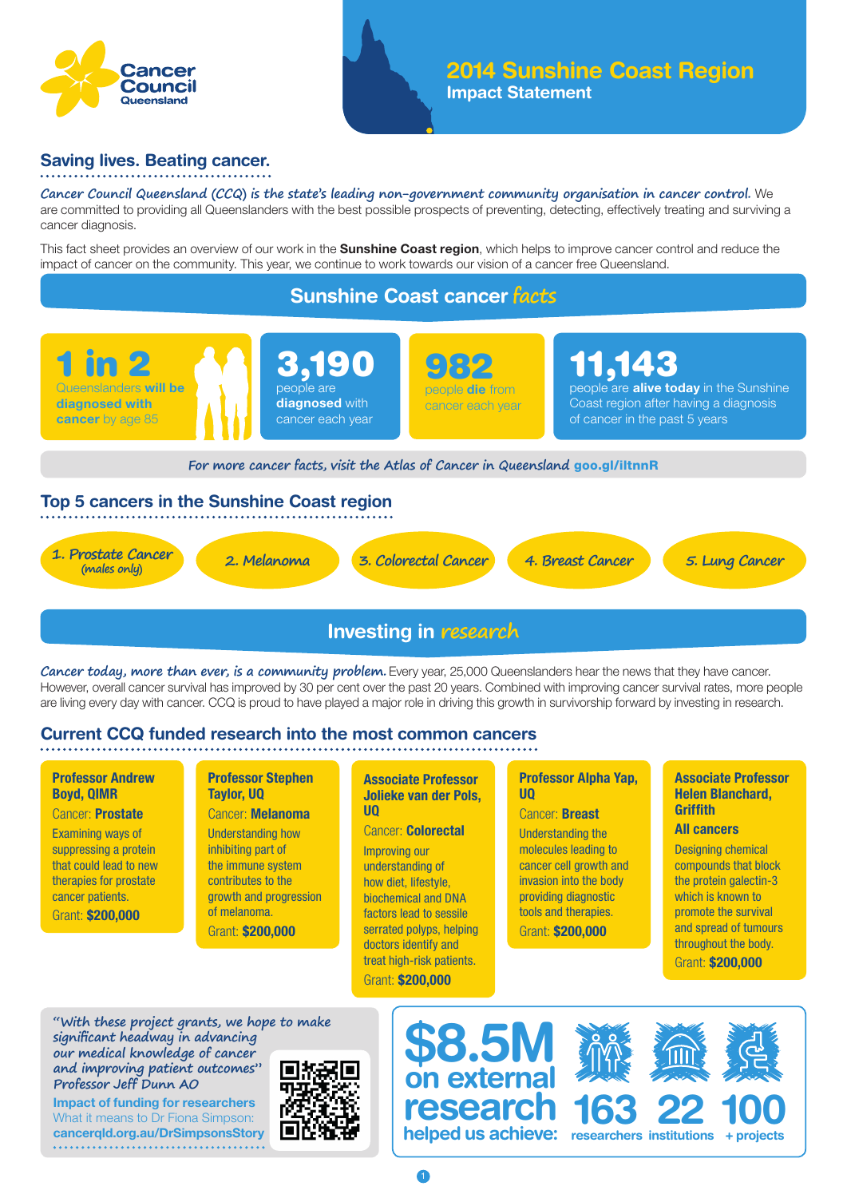

Impact Statement

### Saving lives. Beating cancer.

**Cancer Council Queensland (CCQ) is the state's leading non-government community organisation in cancer control.** We are committed to providing all Queenslanders with the best possible prospects of preventing, detecting, effectively treating and surviving a cancer diagnosis.

This fact sheet provides an overview of our work in the **Sunshine Coast region**, which helps to improve cancer control and reduce the impact of cancer on the community. This year, we continue to work towards our vision of a cancer free Queensland.

### Sunshine Coast cancer **facts**



### Top 5 cancers in the Sunshine Coast region



### Investing in **research**

**Cancer today, more than ever, is a community problem.** Every year, 25,000 Queenslanders hear the news that they have cancer. However, overall cancer survival has improved by 30 per cent over the past 20 years. Combined with improving cancer survival rates, more people are living every day with cancer. CCQ is proud to have played a major role in driving this growth in survivorship forward by investing in research.

### Current CCQ funded research into the most common cancers

#### **Professor Andrew Boyd, QIMR**

#### Cancer: **Prostate**

Examining ways of suppressing a protein that could lead to new therapies for prostate cancer patients. Grant: **\$200,000**

## **Professor Stephen Taylor, UQ**

Cancer: **Melanoma** Understanding how inhibiting part of the immune system contributes to the growth and progression of melanoma. Grant: **\$200,000**

#### **Associate Professor Jolieke van der Pols, UQ**

### Cancer: **Colorectal**

Improving our understanding of how diet, lifestyle, biochemical and DNA factors lead to sessile serrated polyps, helping doctors identify and treat high-risk patients. Grant: **\$200,000**

### **Professor Alpha Yap, UQ**

#### Cancer: **Breast**

Understanding the molecules leading to cancer cell growth and invasion into the body providing diagnostic tools and therapies. Grant: **\$200,000**

#### **Associate Professor Helen Blanchard, Griffith**

#### **All cancers**

Designing chemical compounds that block the protein galectin-3 which is known to promote the survival and spread of tumours throughout the body. Grant: **\$200,000**

**"With these project grants, we hope to make significant headway in advancing our medical knowledge of cancer and improving patient outcomes" Professor Jeff Dunn AO**

**Impact of funding for researchers** What it means to Dr Fiona Simpson: **cancerqld.org.au/DrSimpsonsStory**



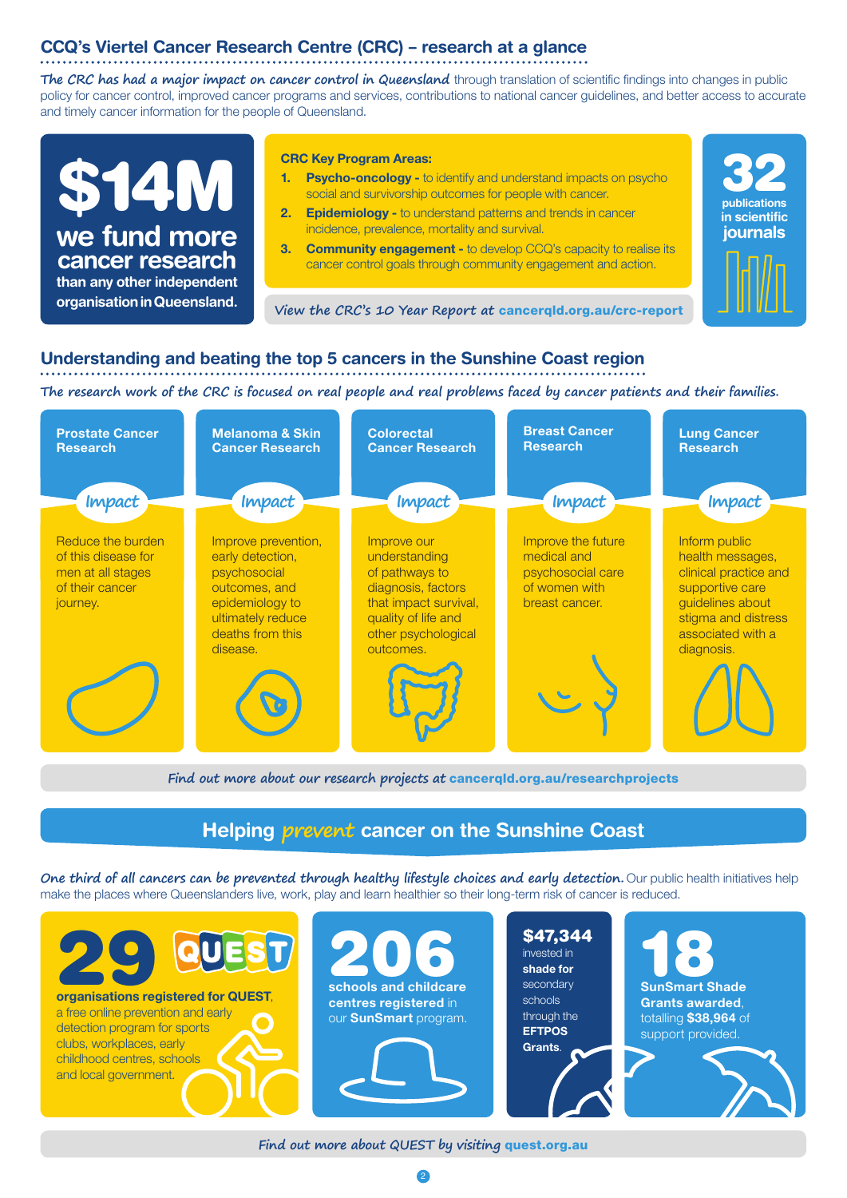## CCQ's Viertel Cancer Research Centre (CRC) – research at a glance

**The CRC has had a major impact on cancer control in Queensland** through translation of scientific findings into changes in public policy for cancer control, improved cancer programs and services, contributions to national cancer guidelines, and better access to accurate and timely cancer information for the people of Queensland.

| <b>S14M</b><br>we fund more<br>cancer research<br>than any other independent | <b>CRC Key Program Areas:</b><br><b>Psycho-oncology - to identify and understand impacts on psycho</b><br>social and survivorship outcomes for people with cancer.<br><b>Epidemiology - to understand patterns and trends in cancer</b><br>2.<br>incidence, prevalence, mortality and survival.<br><b>Community engagement - to develop CCQ's capacity to realise its</b><br>3.<br>cancer control goals through community engagement and action. | 32<br>publications<br>in scientific<br>journals |
|------------------------------------------------------------------------------|--------------------------------------------------------------------------------------------------------------------------------------------------------------------------------------------------------------------------------------------------------------------------------------------------------------------------------------------------------------------------------------------------------------------------------------------------|-------------------------------------------------|
| organisation in Queensland.                                                  | View the CRC's 10 Year Report at cancerqld.org.au/crc-report                                                                                                                                                                                                                                                                                                                                                                                     |                                                 |

### Understanding and beating the top 5 cancers in the Sunshine Coast region

**The research work of the CRC is focused on real people and real problems faced by cancer patients and their families.**



**Find out more about our research projects at** cancerqld.org.au/researchprojects

## Helping **prevent** cancer on the Sunshine Coast

**One third of all cancers can be prevented through healthy lifestyle choices and early detection.** Our public health initiatives help make the places where Queenslanders live, work, play and learn healthier so their long-term risk of cancer is reduced.



**Find out more about QUEST by visiting** quest.org.au

2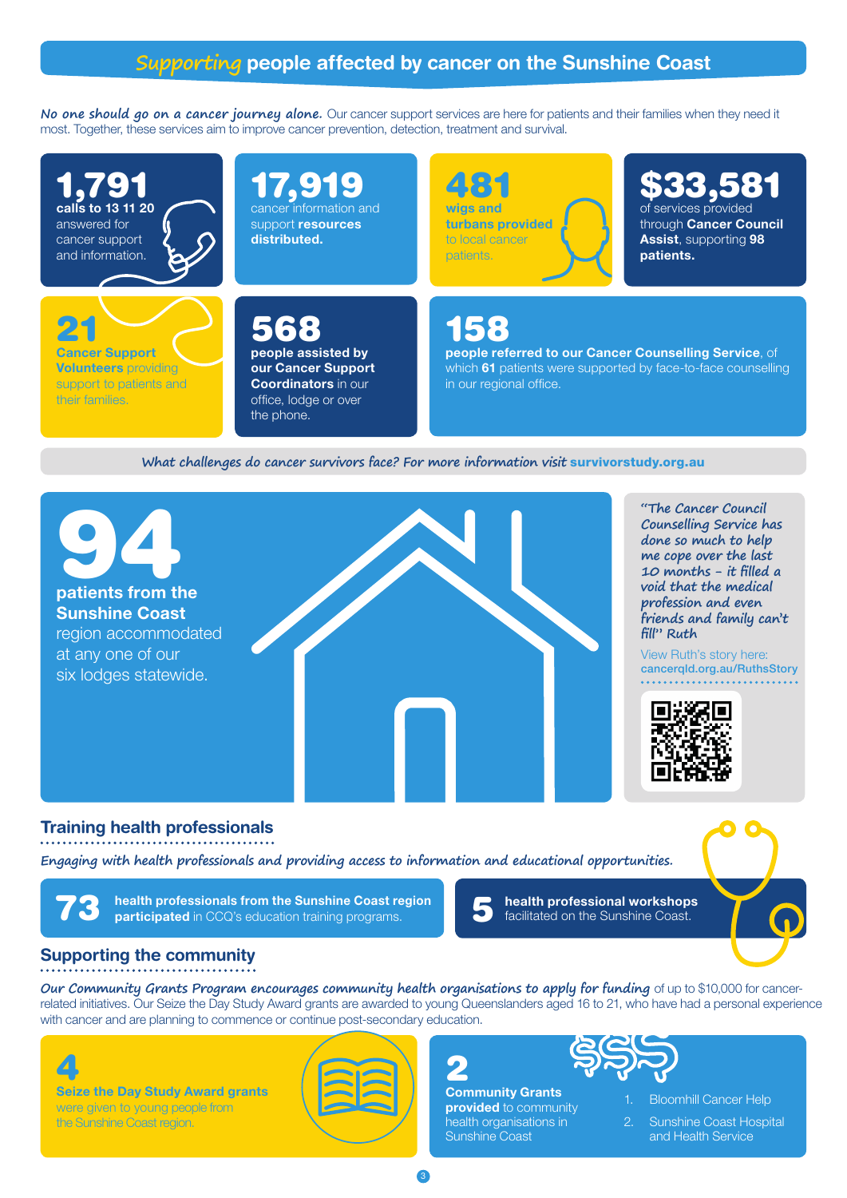## **Supporting** people affected by cancer on the Sunshine Coast

**No one should go on a cancer journey alone.** Our cancer support services are here for patients and their families when they need it most. Together, these services aim to improve cancer prevention, detection, treatment and survival.



#### **What challenges do cancer survivors face? For more information visit** survivorstudy.org.au



## Training health professionals

**Engaging with health professionals and providing access to information and educational opportunities.**

73 **health professionals from the Sunshine Coast region participated** in CCQ's education training programs.





### Supporting the community

**Our Community Grants Program encourages community health organisations to apply for funding** of up to \$10,000 for cancerrelated initiatives. Our Seize the Day Study Award grants are awarded to young Queenslanders aged 16 to 21, who have had a personal experience with cancer and are planning to commence or continue post-secondary education.

4 **Seize the Day Study Award grants** were given to young people from the Sunshine Coast region.





**provided** to community health organisations in Sunshine Coast



Bloomhill Cancer Help

2. Sunshine Coast Hospital and Health Service